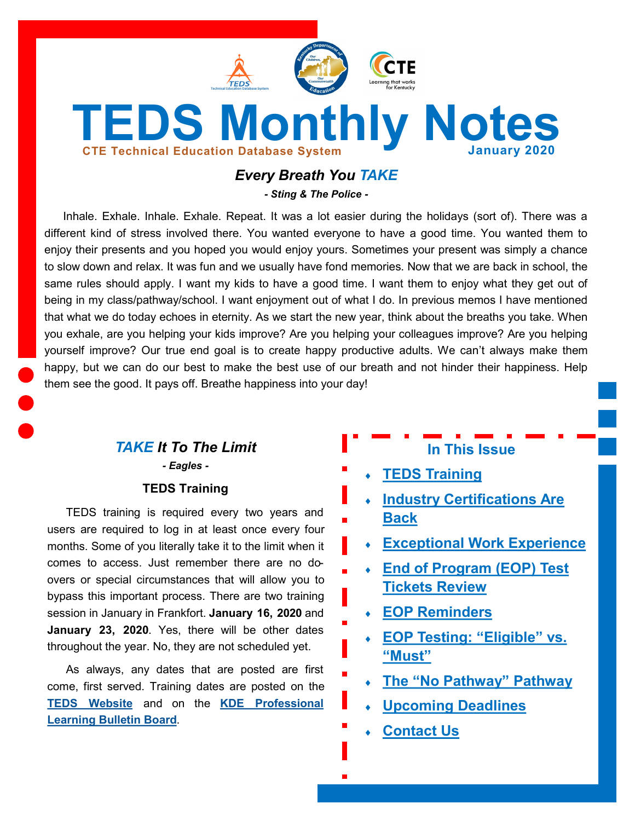<span id="page-0-0"></span>

# *Every Breath You TAKE*

*- Sting & The Police -*

Inhale. Exhale. Inhale. Exhale. Repeat. It was a lot easier during the holidays (sort of). There was a different kind of stress involved there. You wanted everyone to have a good time. You wanted them to enjoy their presents and you hoped you would enjoy yours. Sometimes your present was simply a chance to slow down and relax. It was fun and we usually have fond memories. Now that we are back in school, the same rules should apply. I want my kids to have a good time. I want them to enjoy what they get out of being in my class/pathway/school. I want enjoyment out of what I do. In previous memos I have mentioned that what we do today echoes in eternity. As we start the new year, think about the breaths you take. When you exhale, are you helping your kids improve? Are you helping your colleagues improve? Are you helping yourself improve? Our true end goal is to create happy productive adults. We can't always make them happy, but we can do our best to make the best use of our breath and not hinder their happiness. Help them see the good. It pays off. Breathe happiness into your day!

# *TAKE It To The Limit - Eagles -*

#### **TEDS Training**

TEDS training is required every two years and users are required to log in at least once every four months. Some of you literally take it to the limit when it comes to access. Just remember there are no doovers or special circumstances that will allow you to bypass this important process. There are two training session in January in Frankfort. **January 16, 2020** and **January 23, 2020**. Yes, there will be other dates throughout the year. No, they are not scheduled yet.

As always, any dates that are posted are first come, first served. Training dates are posted on the **[TEDS Website](https://education.ky.gov/CTE/teds/Pages/default.aspx)** and on the **[KDE Professional](https://applications.education.ky.gov/PLBB/Home/PLBBHome)  [Learning Bulletin Board](https://applications.education.ky.gov/PLBB/Home/PLBBHome)**.

# **In This Issue**

- **[TEDS Training](#page-0-0)**
- **[Industry Certifications Are](#page-1-0)  [Back](#page-1-0)**
- **[Exceptional Work Experience](#page-1-0)**
- **[End of Program \(EOP\) Test](#page-2-0)  [Tickets Review](#page-2-0)**
- **[EOP Reminders](#page-2-0)**
- **[EOP Testing:](#page-3-0) "Eligible" vs. "[Must](#page-3-0)"**
- **The "[No Pathway](#page-3-0)" Pathway**
- **[Upcoming Deadlines](#page-4-0)**
- **[Contact Us](#page-4-0)**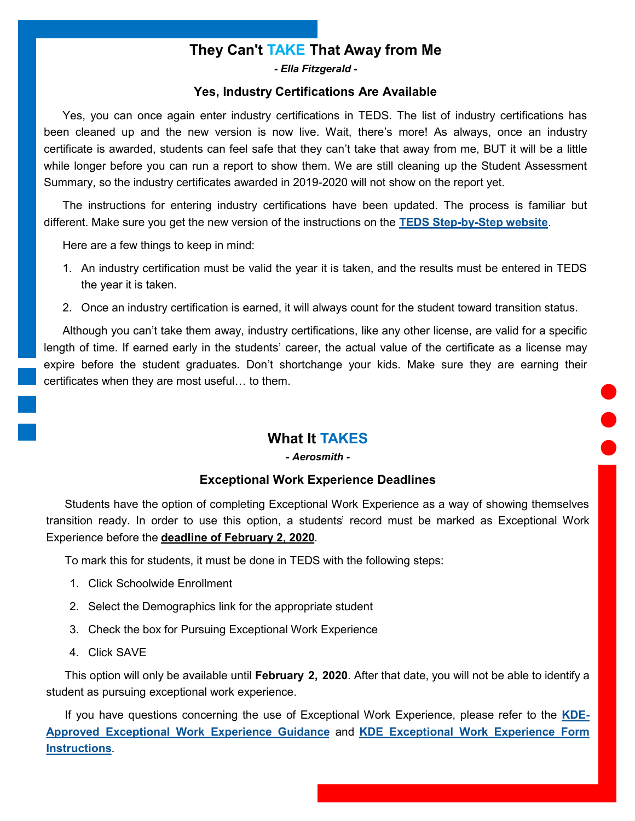# **They Can't TAKE That Away from Me**

*- Ella Fitzgerald -*

#### **Yes, Industry Certifications Are Available**

<span id="page-1-0"></span>Yes, you can once again enter industry certifications in TEDS. The list of industry certifications has been cleaned up and the new version is now live. Wait, there's more! As always, once an industry certificate is awarded, students can feel safe that they can't take that away from me, BUT it will be a little while longer before you can run a report to show them. We are still cleaning up the Student Assessment Summary, so the industry certificates awarded in 2019-2020 will not show on the report yet.

The instructions for entering industry certifications have been updated. The process is familiar but different. Make sure you get the new version of the instructions on the **TEDS Step-by-[Step website](https://education.ky.gov/CTE/teds/Pages/TEDSStepbyStep.aspx)**.

Here are a few things to keep in mind:

- 1. An industry certification must be valid the year it is taken, and the results must be entered in TEDS the year it is taken.
- 2. Once an industry certification is earned, it will always count for the student toward transition status.

Although you can't take them away, industry certifications, like any other license, are valid for a specific length of time. If earned early in the students' career, the actual value of the certificate as a license may expire before the student graduates. Don't shortchange your kids. Make sure they are earning their certificates when they are most useful… to them.

## **What It TAKES**

*- Aerosmith -*

#### **Exceptional Work Experience Deadlines**

Students have the option of completing Exceptional Work Experience as a way of showing themselves transition ready. In order to use this option, a students' record must be marked as Exceptional Work Experience before the **deadline of February 2, 2020**.

To mark this for students, it must be done in TEDS with the following steps:

- 1. Click Schoolwide Enrollment
- 2. Select the Demographics link for the appropriate student
- 3. Check the box for Pursuing Exceptional Work Experience
- 4. Click SAVE

This option will only be available until **February 2, 2020**. After that date, you will not be able to identify a student as pursuing exceptional work experience.

If you have questions concerning the use of Exceptional Work Experience, please refer to the **[KDE](https://education.ky.gov/CTE/Documents/Except_Wk_Exp_Req.pdf)-[Approved Exceptional Work Experience Guidance](https://education.ky.gov/CTE/Documents/Except_Wk_Exp_Req.pdf)** and **[KDE Exceptional Work Experience Form](https://education.ky.gov/CTE/Documents/EWE_Form-Instructions.pdf)  [Instructions](https://education.ky.gov/CTE/Documents/EWE_Form-Instructions.pdf)**.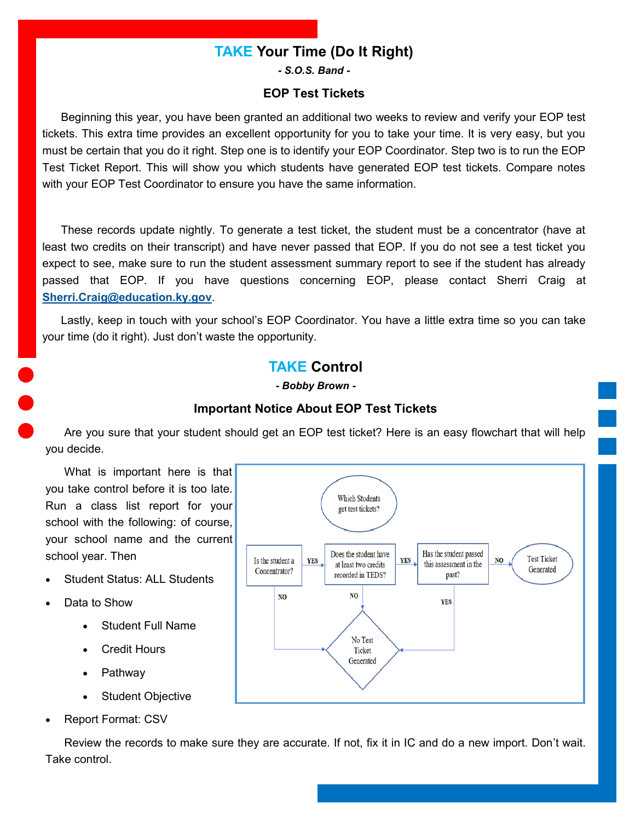## **TAKE Your Time (Do It Right)**

*- S.O.S. Band -*

## **EOP Test Tickets**

<span id="page-2-0"></span>Beginning this year, you have been granted an additional two weeks to review and verify your EOP test tickets. This extra time provides an excellent opportunity for you to take your time. It is very easy, but you must be certain that you do it right. Step one is to identify your EOP Coordinator. Step two is to run the EOP Test Ticket Report. This will show you which students have generated EOP test tickets. Compare notes with your EOP Test Coordinator to ensure you have the same information.

These records update nightly. To generate a test ticket, the student must be a concentrator (have at least two credits on their transcript) and have never passed that EOP. If you do not see a test ticket you expect to see, make sure to run the student assessment summary report to see if the student has already passed that EOP. If you have questions concerning EOP, please contact Sherri Craig at **[Sherri.Craig@education.ky.gov](mailto:Sherri.Craig@education.ky.gov)**.

Lastly, keep in touch with your school's EOP Coordinator. You have a little extra time so you can take your time (do it right). Just don't waste the opportunity.

## **TAKE Control**

*- Bobby Brown -*

#### **Important Notice About EOP Test Tickets**

Are you sure that your student should get an EOP test ticket? Here is an easy flowchart that will help you decide.

What is important here is that you take control before it is too late. Run a class list report for your school with the following: of course, your school name and the current school year. Then

- Student Status: ALL Students
- Data to Show
	- Student Full Name
	- **Credit Hours**
	- **Pathway**
	- Student Objective
- Report Format: CSV

Review the records to make sure they are accurate. If not, fix it in IC and do a new import. Don't wait. Take control.

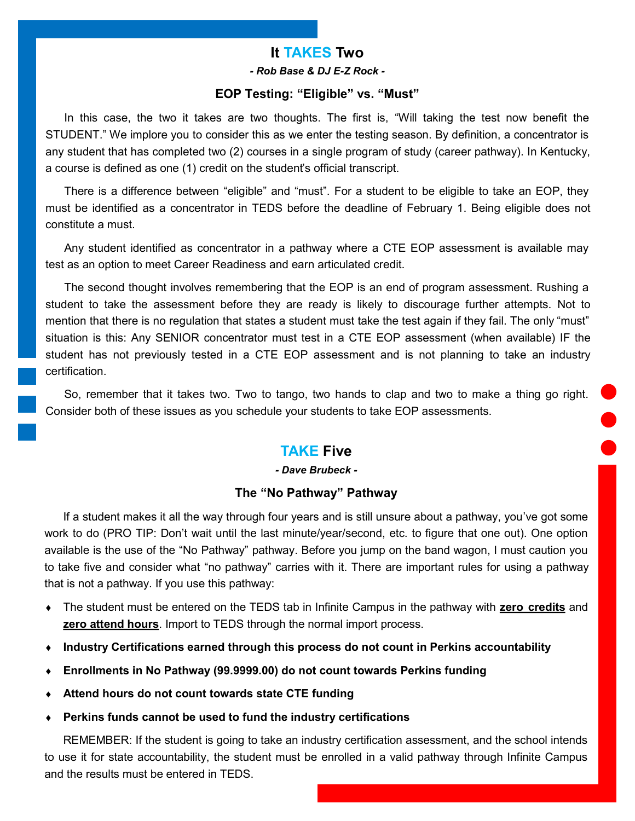## **It TAKES Two**

*- Rob Base & DJ E-Z Rock -*

#### **EOP Testing: "Eligible" vs. "Must"**

<span id="page-3-0"></span>In this case, the two it takes are two thoughts. The first is, "Will taking the test now benefit the STUDENT." We implore you to consider this as we enter the testing season. By definition, a concentrator is any student that has completed two (2) courses in a single program of study (career pathway). In Kentucky, a course is defined as one (1) credit on the student's official transcript.

There is a difference between "eligible" and "must". For a student to be eligible to take an EOP, they must be identified as a concentrator in TEDS before the deadline of February 1. Being eligible does not constitute a must.

Any student identified as concentrator in a pathway where a CTE EOP assessment is available may test as an option to meet Career Readiness and earn articulated credit.

The second thought involves remembering that the EOP is an end of program assessment. Rushing a student to take the assessment before they are ready is likely to discourage further attempts. Not to mention that there is no regulation that states a student must take the test again if they fail. The only "must" situation is this: Any SENIOR concentrator must test in a CTE EOP assessment (when available) IF the student has not previously tested in a CTE EOP assessment and is not planning to take an industry certification.

So, remember that it takes two. Two to tango, two hands to clap and two to make a thing go right. Consider both of these issues as you schedule your students to take EOP assessments.

## **TAKE Five**

#### *- Dave Brubeck -*

#### **The "No Pathway" Pathway**

If a student makes it all the way through four years and is still unsure about a pathway, you've got some work to do (PRO TIP: Don't wait until the last minute/year/second, etc. to figure that one out). One option available is the use of the "No Pathway" pathway. Before you jump on the band wagon, I must caution you to take five and consider what "no pathway" carries with it. There are important rules for using a pathway that is not a pathway. If you use this pathway:

- The student must be entered on the TEDS tab in Infinite Campus in the pathway with **zero credits** and **zero attend hours**. Import to TEDS through the normal import process.
- **Industry Certifications earned through this process do not count in Perkins accountability**
- **Enrollments in No Pathway (99.9999.00) do not count towards Perkins funding**
- **Attend hours do not count towards state CTE funding**
- **Perkins funds cannot be used to fund the industry certifications**

REMEMBER: If the student is going to take an industry certification assessment, and the school intends to use it for state accountability, the student must be enrolled in a valid pathway through Infinite Campus and the results must be entered in TEDS.